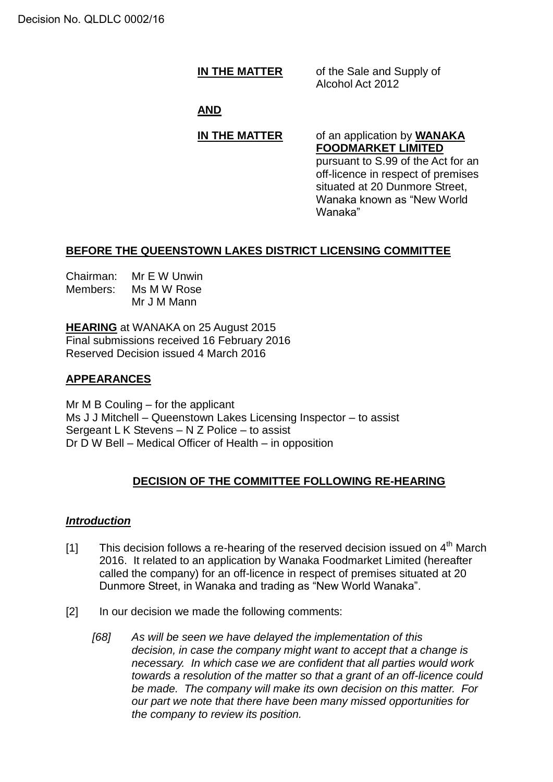**IN THE MATTER** of the Sale and Supply of Alcohol Act 2012

## **AND**

# **IN THE MATTER** of an application by **WANAKA**

**FOODMARKET LIMITED** pursuant to S.99 of the Act for an off-licence in respect of premises situated at 20 Dunmore Street, Wanaka known as "New World Wanaka"

### **BEFORE THE QUEENSTOWN LAKES DISTRICT LICENSING COMMITTEE**

| Chairman: | Mr E W Unwin |
|-----------|--------------|
| Members:  | Ms M W Rose  |
|           | Mr J M Mann  |

**HEARING** at WANAKA on 25 August 2015 Final submissions received 16 February 2016 Reserved Decision issued 4 March 2016

# **APPEARANCES**

Mr  $M$  B Couling – for the applicant Ms J J Mitchell – Queenstown Lakes Licensing Inspector – to assist Sergeant L K Stevens – N Z Police – to assist Dr D W Bell – Medical Officer of Health – in opposition

# **DECISION OF THE COMMITTEE FOLLOWING RE-HEARING**

#### *Introduction*

- [1] This decision follows a re-hearing of the reserved decision issued on  $4<sup>th</sup>$  March 2016. It related to an application by Wanaka Foodmarket Limited (hereafter called the company) for an off-licence in respect of premises situated at 20 Dunmore Street, in Wanaka and trading as "New World Wanaka".
- [2] In our decision we made the following comments:
	- *[68] As will be seen we have delayed the implementation of this decision, in case the company might want to accept that a change is necessary. In which case we are confident that all parties would work towards a resolution of the matter so that a grant of an off-licence could be made. The company will make its own decision on this matter. For our part we note that there have been many missed opportunities for the company to review its position.*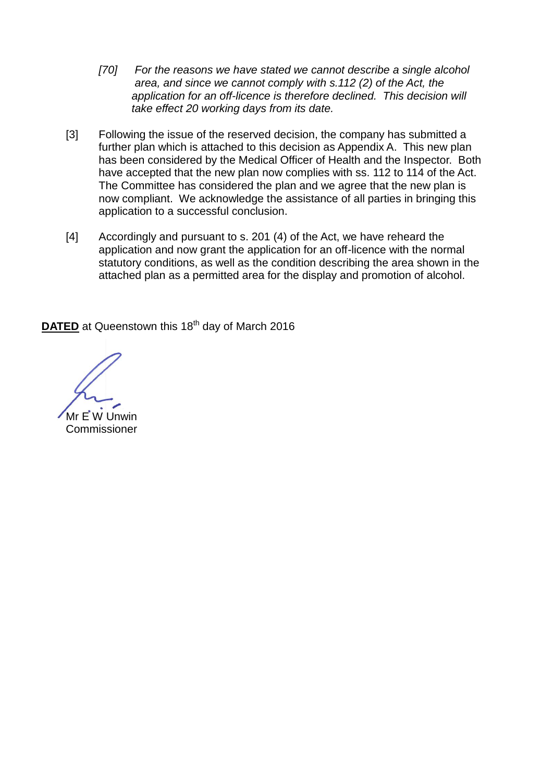- *[70] For the reasons we have stated we cannot describe a single alcohol area, and since we cannot comply with s.112 (2) of the Act, the*  application for an off-licence is therefore declined. This decision will *take effect 20 working days from its date.*
- [3] Following the issue of the reserved decision, the company has submitted a further plan which is attached to this decision as Appendix A. This new plan has been considered by the Medical Officer of Health and the Inspector. Both have accepted that the new plan now complies with ss. 112 to 114 of the Act. The Committee has considered the plan and we agree that the new plan is now compliant. We acknowledge the assistance of all parties in bringing this application to a successful conclusion.
- [4] Accordingly and pursuant to s. 201 (4) of the Act, we have reheard the application and now grant the application for an off-licence with the normal statutory conditions, as well as the condition describing the area shown in the attached plan as a permitted area for the display and promotion of alcohol.

**DATED** at Queenstown this 18<sup>th</sup> day of March 2016

Mr E W Unwin Commissioner